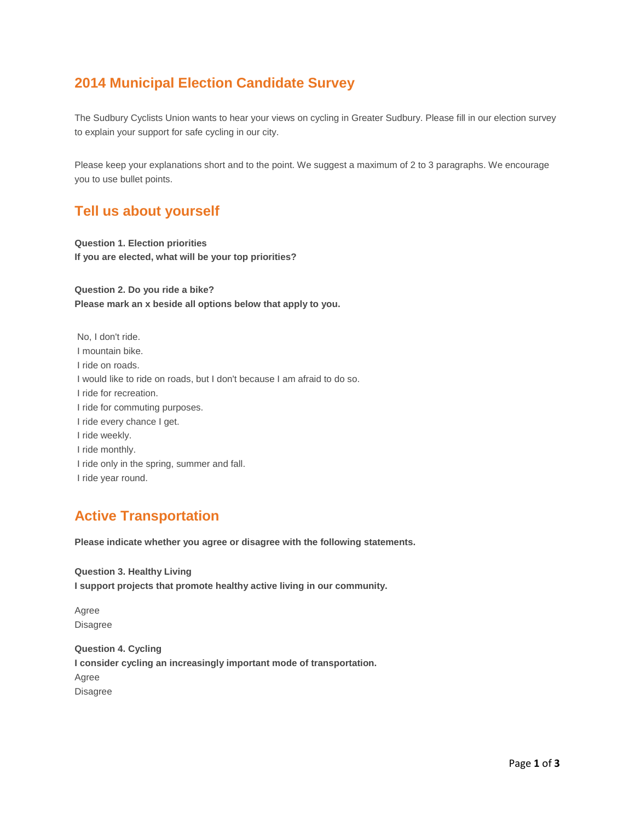# **2014 Municipal Election Candidate Survey**

The Sudbury Cyclists Union wants to hear your views on cycling in Greater Sudbury. Please fill in our election survey to explain your support for safe cycling in our city.

Please keep your explanations short and to the point. We suggest a maximum of 2 to 3 paragraphs. We encourage you to use bullet points.

### **Tell us about yourself**

**Question 1. Election priorities If you are elected, what will be your top priorities?**

**Question 2. Do you ride a bike? Please mark an x beside all options below that apply to you.**

No, I don't ride. I mountain bike. I ride on roads. I would like to ride on roads, but I don't because I am afraid to do so. I ride for recreation. I ride for commuting purposes. I ride every chance I get. I ride weekly. I ride monthly. I ride only in the spring, summer and fall. I ride year round.

### **Active Transportation**

**Please indicate whether you agree or disagree with the following statements.**

**Question 3. Healthy Living I support projects that promote healthy active living in our community.**

Agree Disagree

**Question 4. Cycling I consider cycling an increasingly important mode of transportation.** Agree Disagree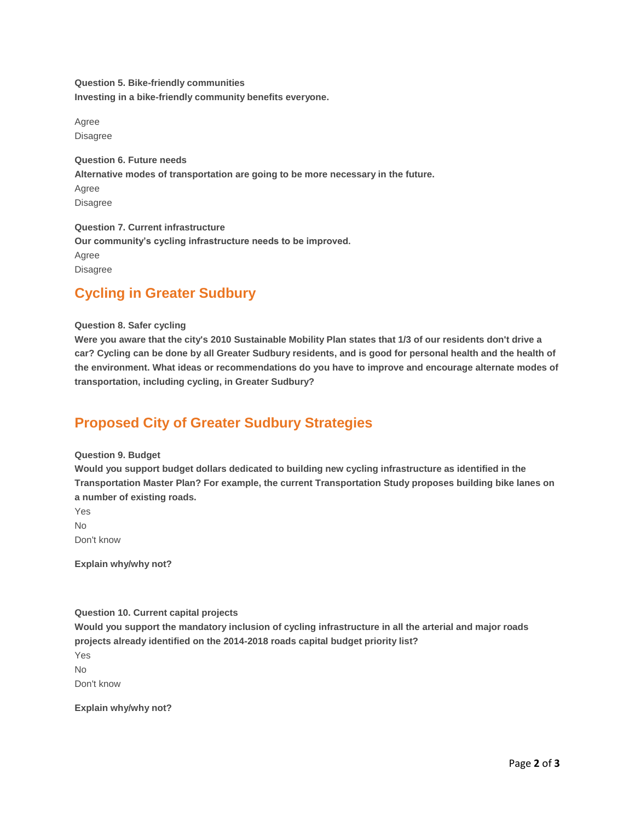**Question 5. Bike-friendly communities Investing in a bike-friendly community benefits everyone.**

Agree Disagree

**Question 6. Future needs Alternative modes of transportation are going to be more necessary in the future.** Agree Disagree

**Question 7. Current infrastructure Our community's cycling infrastructure needs to be improved.** Agree Disagree

## **Cycling in Greater Sudbury**

### **Question 8. Safer cycling**

**Were you aware that the city's 2010 Sustainable Mobility Plan states that 1/3 of our residents don't drive a car? Cycling can be done by all Greater Sudbury residents, and is good for personal health and the health of the environment. What ideas or recommendations do you have to improve and encourage alternate modes of transportation, including cycling, in Greater Sudbury?**

# **Proposed City of Greater Sudbury Strategies**

#### **Question 9. Budget**

**Would you support budget dollars dedicated to building new cycling infrastructure as identified in the Transportation Master Plan? For example, the current Transportation Study proposes building bike lanes on a number of existing roads.**

Yes

No

Don't know

**Explain why/why not?**

**Question 10. Current capital projects**

**Would you support the mandatory inclusion of cycling infrastructure in all the arterial and major roads projects already identified on the 2014-2018 roads capital budget priority list?**

Yes  $N<sub>0</sub>$ 

Don't know

**Explain why/why not?**